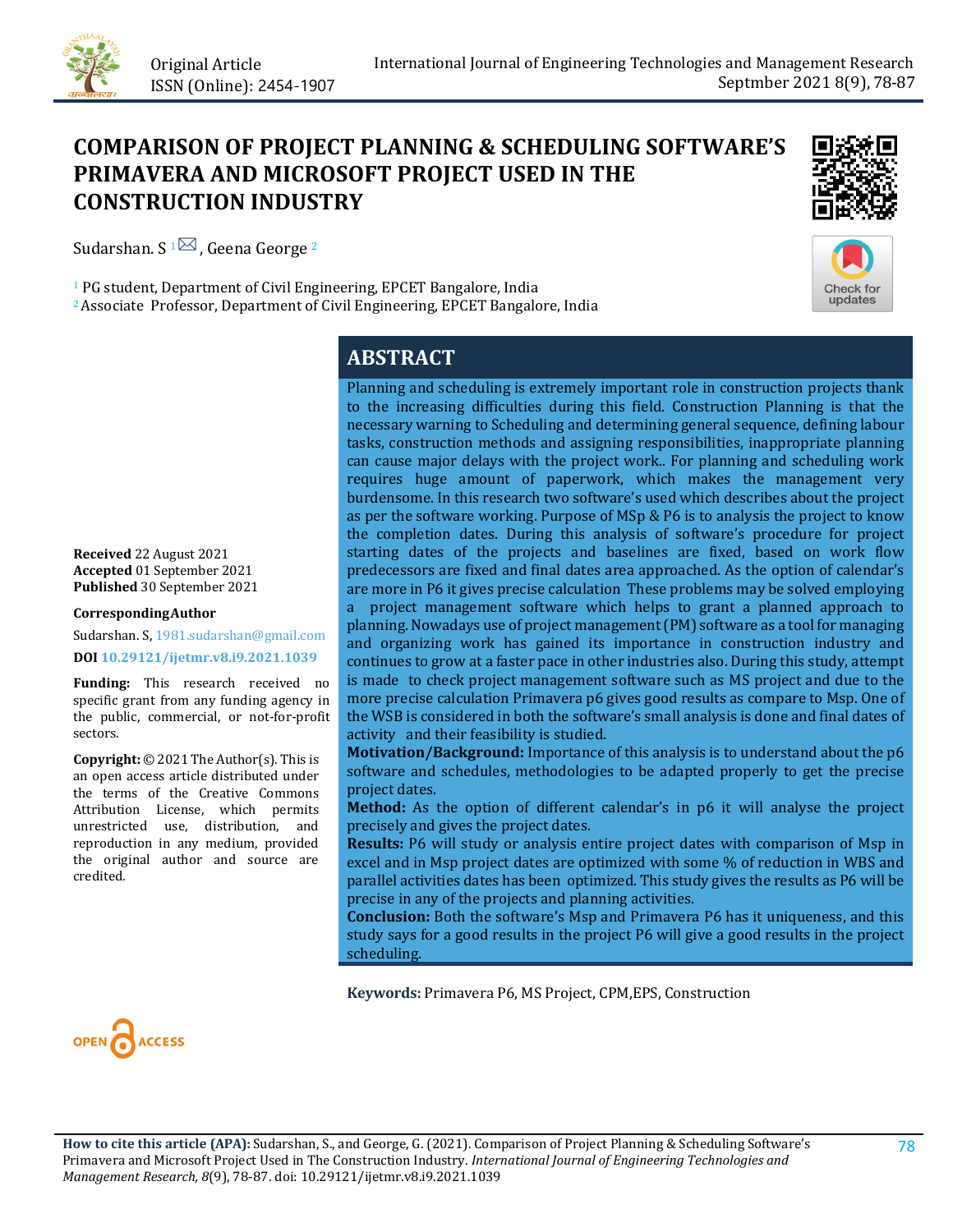

# **COMPARISON OF PROJECT PLANNING & SCHEDULING SOFTWARE'S PRIMAVERA AND MICROSOFT PROJECT USED IN THE CONSTRUCTION INDUSTRY**



<sup>1</sup> PG student, Department of Civil Engineering, EPCET Bangalore, India 2Associate Professor, Department of Civil Engineering, EPCET Bangalore, India

# **ABSTRACT**

**Received** 22 August 2021 **Accepted** 01 September 2021 **Published** 30 September 2021

#### **CorrespondingAuthor**

Sudarshan. S, 1981.sudarshan@gmail.com **DOI [10.29121/ijetmr.v8.i9.2021.1039](https://dx.doi.org/10.29121/ijetmr.v8.i9.2021.1039)**

**Funding:** This research received no specific grant from any funding agency in the public, commercial, or not-for-profit sectors.

**Copyright:** © 2021 The Author(s). This is an open access article distributed under the terms of the Creative Commons Attribution License, which permits unrestricted use, distribution, and reproduction in any medium, provided the original author and source are credited.

Planning and scheduling is extremely important role in construction projects thank to the increasing difficulties during this field. Construction Planning is that the necessary warning to Scheduling and determining general sequence, defining labour tasks, construction methods and assigning responsibilities, inappropriate planning can cause major delays with the project work.. For planning and scheduling work requires huge amount of paperwork, which makes the management very burdensome. In this research two software's used which describes about the project as per the software working. Purpose of MSp & P6 is to analysis the project to know the completion dates. During this analysis of software's procedure for project starting dates of the projects and baselines are fixed, based on work flow predecessors are fixed and final dates area approached. As the option of calendar's are more in P6 it gives precise calculation These problems may be solved employing a project management software which helps to grant a planned approach to planning. Nowadays use of project management (PM) software as a tool for managing and organizing work has gained its importance in construction industry and continues to grow at a faster pace in other industries also. During this study, attempt is made to check project management software such as MS project and due to the more precise calculation Primavera p6 gives good results as compare to Msp. One of the WSB is considered in both the software's small analysis is done and final dates of activity and their feasibility is studied.

**Motivation/Background:** Importance of this analysis is to understand about the p6 software and schedules, methodologies to be adapted properly to get the precise project dates.

**Method:** As the option of different calendar's in p6 it will analyse the project precisely and gives the project dates.

**Results:** P6 will study or analysis entire project dates with comparison of Msp in excel and in Msp project dates are optimized with some % of reduction in WBS and parallel activities dates has been optimized. This study gives the results as P6 will be precise in any of the projects and planning activities.

**Conclusion:** Both the software's Msp and Primavera P6 has it uniqueness, and this study says for a good results in the project P6 will give a good results in the project scheduling.

**Keywords:** Primavera P6, MS Project, CPM,EPS, Construction



**How to cite this article (APA):** Sudarshan, S., and George, G. (2021). Comparison of Project Planning & Scheduling Software's Primavera and Microsoft Project Used in The Construction Industry. *International Journal of Engineering Technologies and Management Research, 8*(9), 78-87[. doi:](https://doi.org/10.29121/granthaalayah.v9.i6.2021.3923) [10.29121/ijetmr.v8.i9.2021.1039](https://dx.doi.org/10.29121/ijetmr.v8.i9.2021.1039)

Check for updates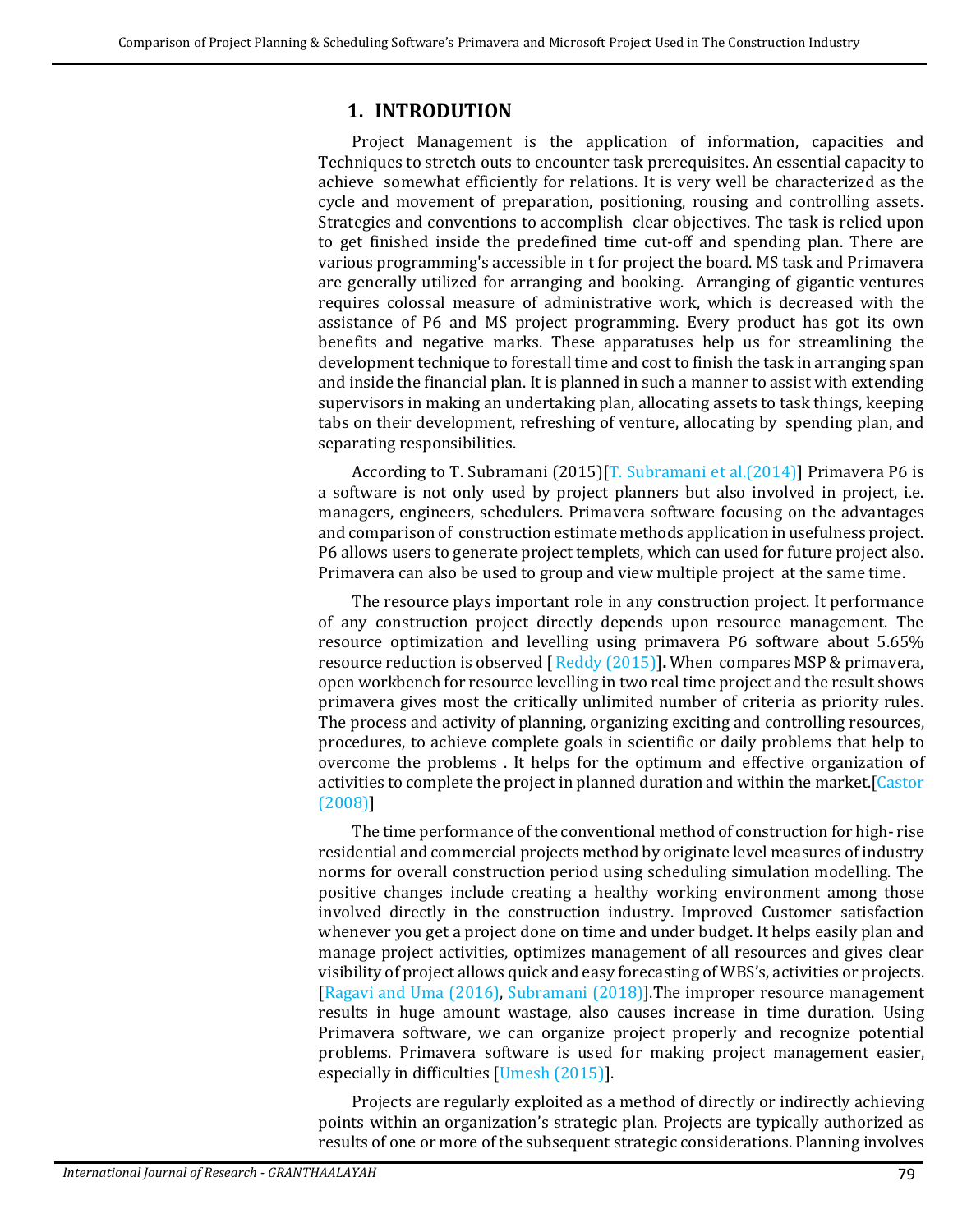### **1. INTRODUTION**

Project Management is the application of information, capacities and Techniques to stretch outs to encounter task prerequisites. An essential capacity to achieve somewhat efficiently for relations. It is very well be characterized as the cycle and movement of preparation, positioning, rousing and controlling assets. Strategies and conventions to accomplish clear objectives. The task is relied upon to get finished inside the predefined time cut-off and spending plan. There are various programming's accessible in t for project the board. MS task and Primavera are generally utilized for arranging and booking. Arranging of gigantic ventures requires colossal measure of administrative work, which is decreased with the assistance of P6 and MS project programming. Every product has got its own benefits and negative marks. These apparatuses help us for streamlining the development technique to forestall time and cost to finish the task in arranging span and inside the financial plan. It is planned in such a manner to assist with extending supervisors in making an undertaking plan, allocating assets to task things, keeping tabs on their development, refreshing of venture, allocating by spending plan, and separating responsibilities.

According to T. Subramani (2015)[\[T. Subramani et al.\(2014\)\]](#page-9-0) Primavera P6 is a software is not only used by project planners but also involved in project, i.e. managers, engineers, schedulers. Primavera software focusing on the advantages and comparison of construction estimate methods application in usefulness project. P6 allows users to generate project templets, which can used for future project also. Primavera can also be used to group and view multiple project at the same time.

The resource plays important role in any construction project. It performance of any construction project directly depends upon resource management. The resource optimization and levelling using primavera P6 software about 5.65% resource reduction is observed [ [Reddy \(2015\)\]](#page-8-0)**.** When compares MSP & primavera, open workbench for resource levelling in two real time project and the result shows primavera gives most the critically unlimited number of criteria as priority rules. The process and activity of planning, organizing exciting and controlling resources, procedures, to achieve complete goals in scientific or daily problems that help to overcome the problems . It helps for the optimum and effective organization of activities to complete the project in planned duration and within the market.[\[Castor](#page-8-1)  [\(2008\)\]](#page-8-1)

The time performance of the conventional method of construction for high- rise residential and commercial projects method by originate level measures of industry norms for overall construction period using scheduling simulation modelling. The positive changes include creating a healthy working environment among those involved directly in the construction industry. Improved Customer satisfaction whenever you get a project done on time and under budget. It helps easily plan and manage project activities, optimizes management of all resources and gives clear visibility of project allows quick and easy forecasting of WBS's, activities or projects. [Ragavi [and Uma](#page-9-1) (2016), [Subramani \(2018\)\]](#page-9-2).The improper resource management results in huge amount wastage, also causes increase in time duration. Using Primavera software, we can organize project properly and recognize potential problems. Primavera software is used for making project management easier, especially in difficulties [Umesh [\(2015\)\]](#page-9-3).

Projects are regularly exploited as a method of directly or indirectly achieving points within an organization's strategic plan. Projects are typically authorized as results of one or more of the subsequent strategic considerations. Planning involves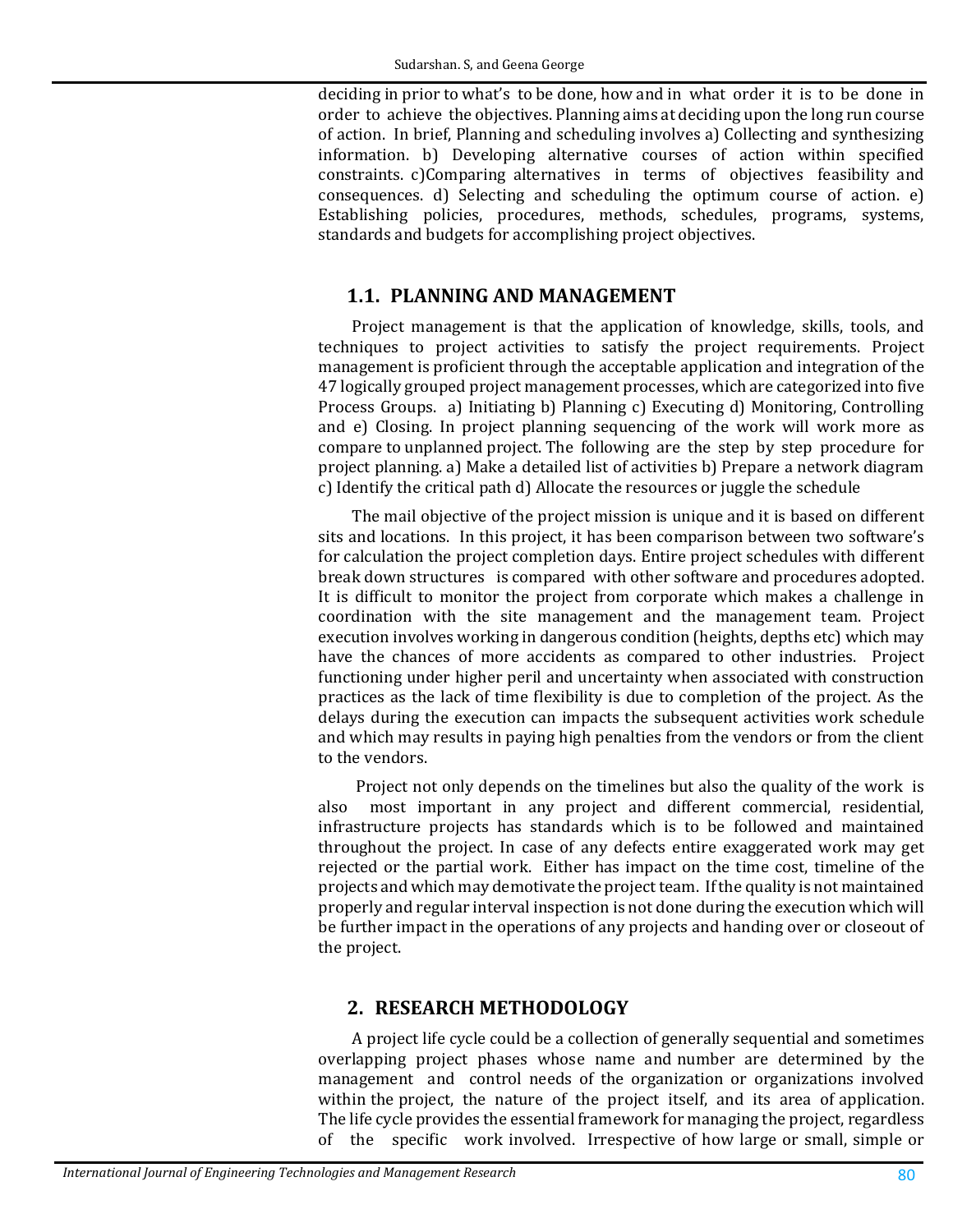deciding in prior to what's to be done, how and in what order it is to be done in order to achieve the objectives. Planning aims at deciding upon the long run course of action. In brief, Planning and scheduling involves a) Collecting and synthesizing information. b) Developing alternative courses of action within specified constraints. c)Comparing alternatives in terms of objectives feasibility and consequences. d) Selecting and scheduling the optimum course of action. e) Establishing policies, procedures, methods, schedules, programs, systems, standards and budgets for accomplishing project objectives.

### **1.1. PLANNING AND MANAGEMENT**

Project management is that the application of knowledge, skills, tools, and techniques to project activities to satisfy the project requirements. Project management is proficient through the acceptable application and integration of the 47 logically grouped project management processes, which are categorized into five Process Groups.a) Initiating b) Planning c) Executing d) Monitoring, Controlling and e) Closing. In project planning sequencing of the work will work more as compare to unplanned project. The following are the step by step procedure for project planning. a) Make a detailed list of activities b) Prepare a network diagram c) Identify the critical path d) Allocate the resources or juggle the schedule

The mail objective of the project mission is unique and it is based on different sits and locations. In this project, it has been comparison between two software's for calculation the project completion days. Entire project schedules with different break down structures is compared with other software and procedures adopted. It is difficult to monitor the project from corporate which makes a challenge in coordination with the site management and the management team. Project execution involves working in dangerous condition (heights, depths etc) which may have the chances of more accidents as compared to other industries. Project functioning under higher peril and uncertainty when associated with construction practices as the lack of time flexibility is due to completion of the project. As the delays during the execution can impacts the subsequent activities work schedule and which may results in paying high penalties from the vendors or from the client to the vendors.

Project not only depends on the timelines but also the quality of the work is also most important in any project and different commercial, residential, infrastructure projects has standards which is to be followed and maintained throughout the project. In case of any defects entire exaggerated work may get rejected or the partial work. Either has impact on the time cost, timeline of the projects and which may demotivate the project team. If the quality is not maintained properly and regular interval inspection is not done during the execution which will be further impact in the operations of any projects and handing over or closeout of the project.

# **2. RESEARCH METHODOLOGY**

A project life cycle could be a collection of generally sequential and sometimes overlapping project phases whose name and number are determined by the management and control needs of the organization or organizations involved within the project, the nature of the project itself, and its area of application. The life cycle provides the essential framework for managing the project, regardless of the specific work involved. Irrespective of how large or small, simple or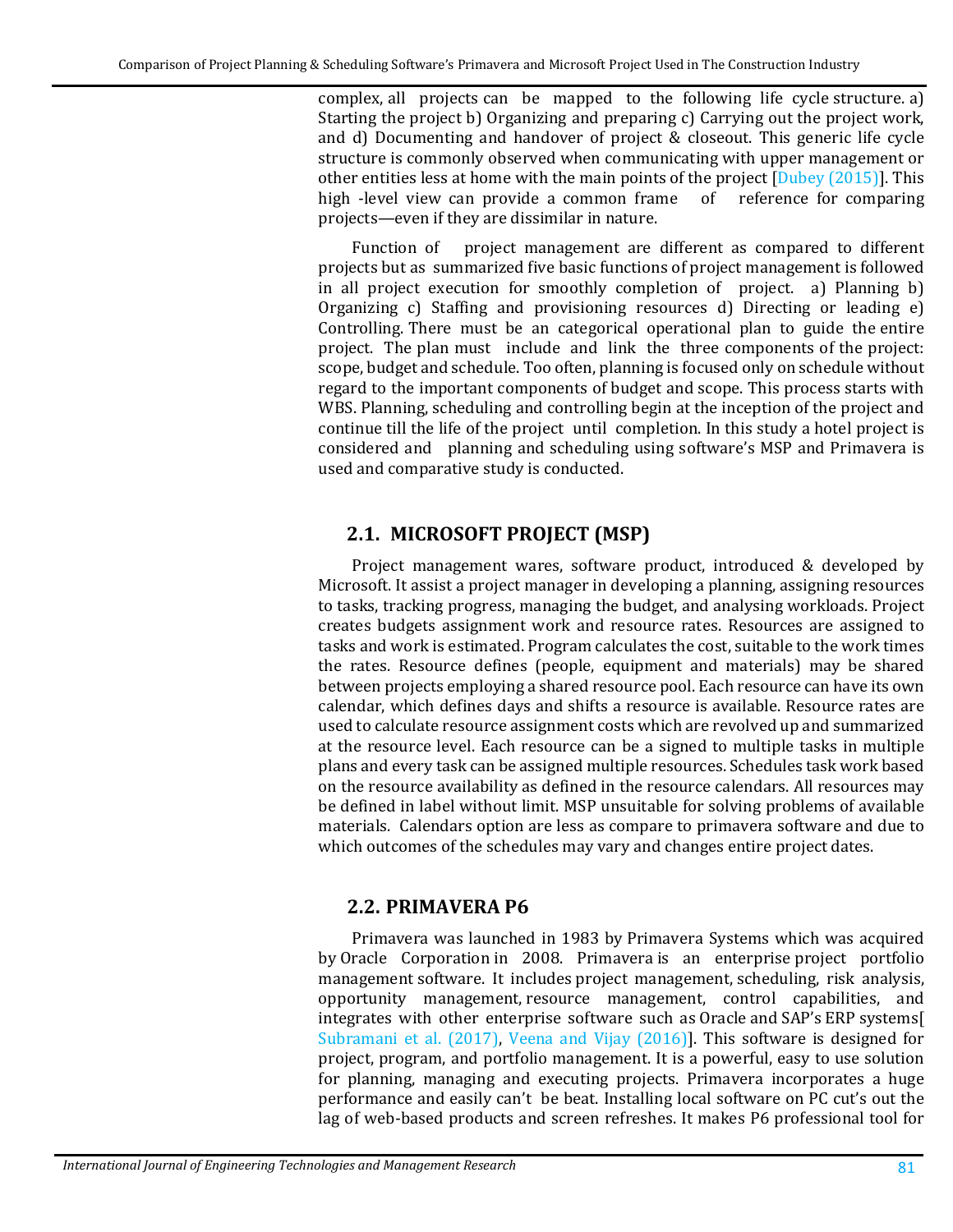complex, all projects can be mapped to the following life cycle structure. a) Starting the project b) Organizing and preparing c) Carrying out the project work, and d) Documenting and handover of project & closeout. This generic life cycle structure is commonly observed when communicating with upper management or other entities less at home with the main points of the project  $[D_{\text{ubey}}(2015)]$ . This high -level view can provide a common frame of reference for comparing high -level view can provide a common frame projects—even if they are dissimilar in nature.

Function of project management are different as compared to different projects but as summarized five basic functions of project management is followed in all project execution for smoothly completion of project. a) Planning b) Organizing c) Staffing and provisioning resources d) Directing or leading e) Controlling. There must be an categorical operational plan to guide the entire project. The plan must include and link the three components of the project: scope, budget and schedule. Too often, planning is focused only on schedule without regard to the important components of budget and scope. This process starts with WBS. Planning, scheduling and controlling begin at the inception of the project and continue till the life of the project until completion. In this study a hotel project is considered and planning and scheduling using software's MSP and Primavera is used and comparative study is conducted.

# **2.1. MICROSOFT PROJECT (MSP)**

Project management wares, software product, introduced & developed by Microsoft. It assist a project manager in developing a planning, assigning resources to tasks, tracking progress, managing the budget, and analysing workloads. Project creates budgets assignment work and resource rates. Resources are assigned to tasks and work is estimated. Program calculates the cost, suitable to the work times the rates. Resource defines (people, equipment and materials) may be shared between projects employing a shared resource pool. Each resource can have its own calendar, which defines days and shifts a resource is available. Resource rates are used to calculate resource assignment costs which are revolved up and summarized at the resource level. Each resource can be a signed to multiple tasks in multiple plans and every task can be assigned multiple resources. Schedules task work based on the resource availability as defined in the resource calendars. All resources may be defined in label without limit. MSP unsuitable for solving problems of available materials. Calendars option are less as compare to primavera software and due to which outcomes of the schedules may vary and changes entire project dates.

# **2.2. PRIMAVERA P6**

Primavera was launched in 1983 by [Primavera Systems](https://en.wikipedia.org/wiki/Primavera_Systems) which was acquired by [Oracle Corporation](https://en.wikipedia.org/wiki/Oracle_Corporation) in 2008. Primavera is an enterprise [project portfolio](https://en.wikipedia.org/wiki/Project_portfolio_management) [management](https://en.wikipedia.org/wiki/Project_portfolio_management) software. It includes [project management,](https://en.wikipedia.org/wiki/Project_management) [scheduling,](https://en.wikipedia.org/wiki/Schedule) risk analysis, opportunity management, [resource management,](https://en.wikipedia.org/wiki/Resource_management) control capabilities, and integrates with other enterprise software such as [Oracle](https://en.wikipedia.org/wiki/Oracle_Corporation) and [SAP's](https://en.wikipedia.org/wiki/SAP_ERP) [ERP](https://en.wikipedia.org/wiki/Enterprise_resource_planning) systems[\[](#page-9-4) Subramani [et al. \(2017\),](#page-9-4) Veena and [Vijay \(2016\)\]](#page-9-5). This software is designed for project, program, and portfolio management. It is a powerful, easy to use solution for planning, managing and executing projects. Primavera incorporates a huge performance and easily can't be beat. Installing local software on PC cut's out the lag of web-based products and screen refreshes. It makes P6 professional tool for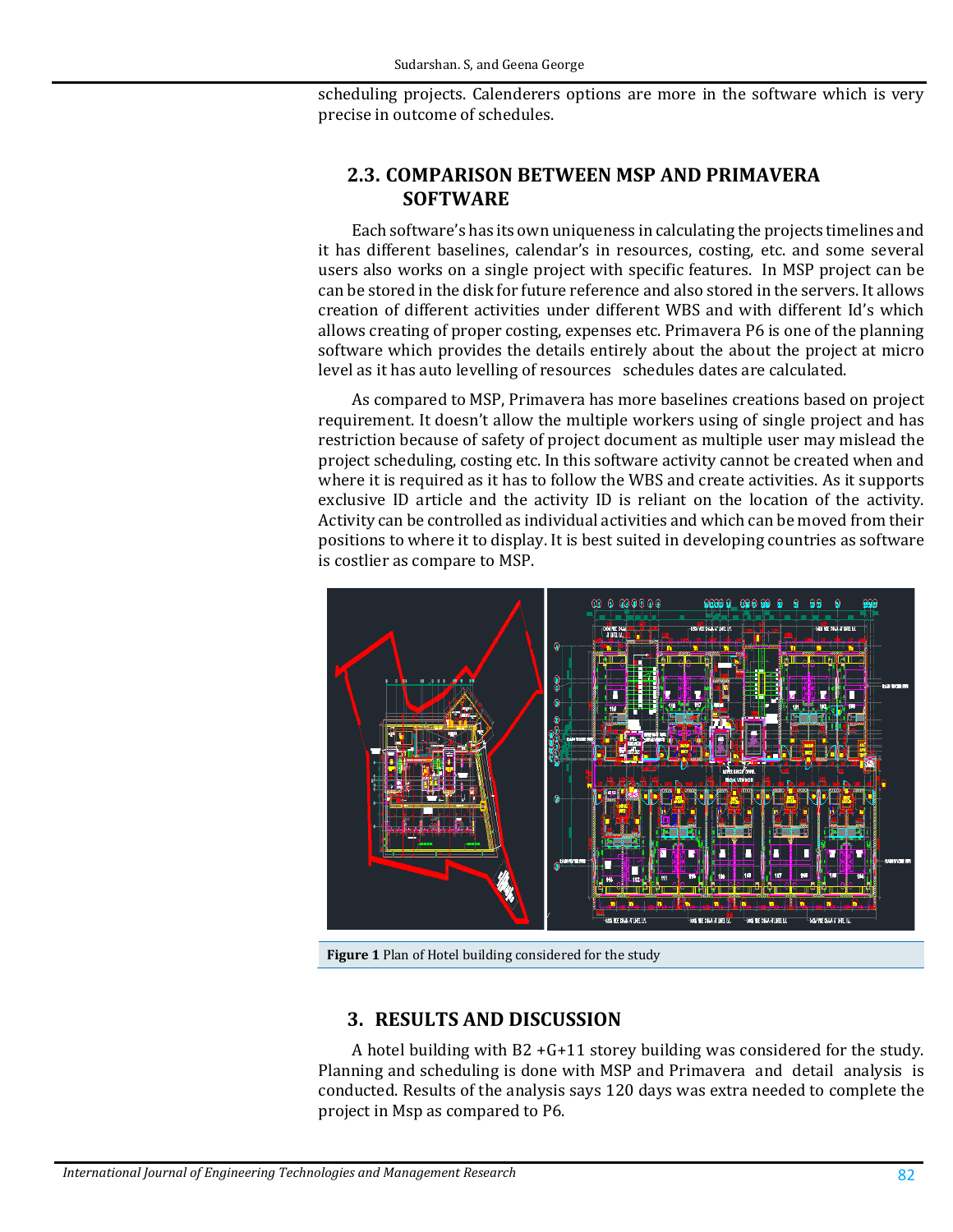scheduling projects. Calenderers options are more in the software which is very precise in outcome of schedules.

#### **2.3. COMPARISON BETWEEN MSP AND PRIMAVERA SOFTWARE**

Each software's has its own uniqueness in calculating the projects timelines and it has different baselines, calendar's in resources, costing, etc. and some several users also works on a single project with specific features. In MSP project can be can be stored in the disk for future reference and also stored in the servers. It allows creation of different activities under different WBS and with different Id's which allows creating of proper costing, expenses etc. Primavera P6 is one of the planning software which provides the details entirely about the about the project at micro level as it has auto levelling of resources schedules dates are calculated.

As compared to MSP, Primavera has more baselines creations based on project requirement. It doesn't allow the multiple workers using of single project and has restriction because of safety of project document as multiple user may mislead the project scheduling, costing etc. In this software activity cannot be created when and where it is required as it has to follow the WBS and create activities. As it supports exclusive ID article and the activity ID is reliant on the location of the activity. Activity can be controlled as individual activities and which can be moved from their positions to where it to display. It is best suited in developing countries as software is costlier as compare to MSP.



**Figure 1** Plan of Hotel building considered for the study

#### **3. RESULTS AND DISCUSSION**

A hotel building with  $B2 + G + 11$  storey building was considered for the study. Planning and scheduling is done with MSP and Primavera and detail analysis is conducted. Results of the analysis says 120 days was extra needed to complete the project in Msp as compared to P6.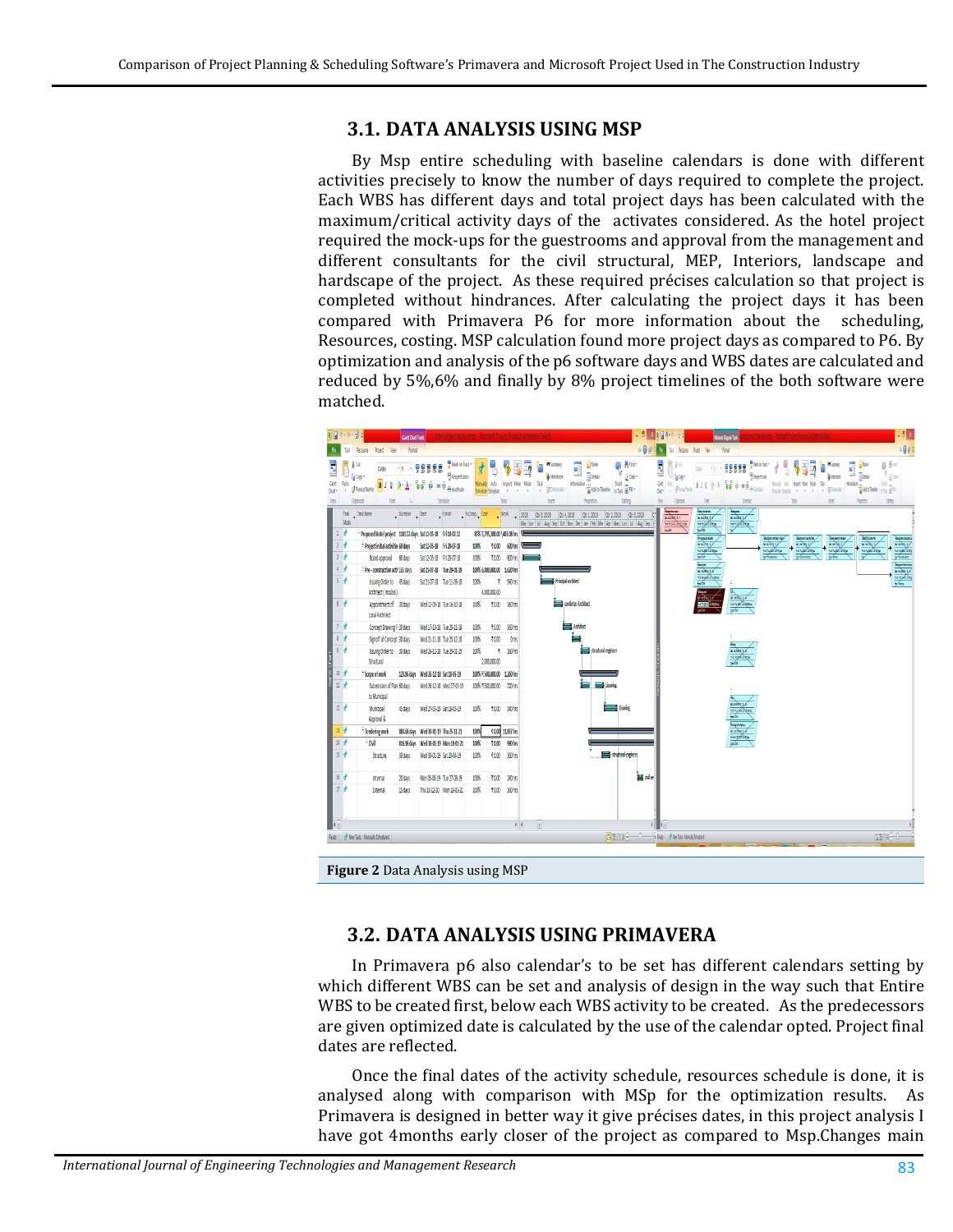#### **3.1. DATA ANALYSIS USING MSP**

By Msp entire scheduling with baseline calendars is done with different activities precisely to know the number of days required to complete the project. Each WBS has different days and total project days has been calculated with the maximum/critical activity days of the activates considered. As the hotel project required the mock-ups for the guestrooms and approval from the management and different consultants for the civil structural, MEP, Interiors, landscape and hardscape of the project. As these required précises calculation so that project is completed without hindrances. After calculating the project days it has been compared with Primavera P6 for more information about the scheduling, Resources, costing. MSP calculation found more project days as compared to P6. By optimization and analysis of the p6 software days and WBS dates are calculated and reduced by 5%,6% and finally by 8% project timelines of the both software were matched.



#### **3.2. DATA ANALYSIS USING PRIMAVERA**

In Primavera p6 also calendar's to be set has different calendars setting by which different WBS can be set and analysis of design in the way such that Entire WBS to be created first, below each WBS activity to be created. As the predecessors are given optimized date is calculated by the use of the calendar opted. Project final dates are reflected.

Once the final dates of the activity schedule, resources schedule is done, it is analysed along with comparison with MSp for the optimization results. As Primavera is designed in better way it give précises dates, in this project analysis I have got 4months early closer of the project as compared to Msp.Changes main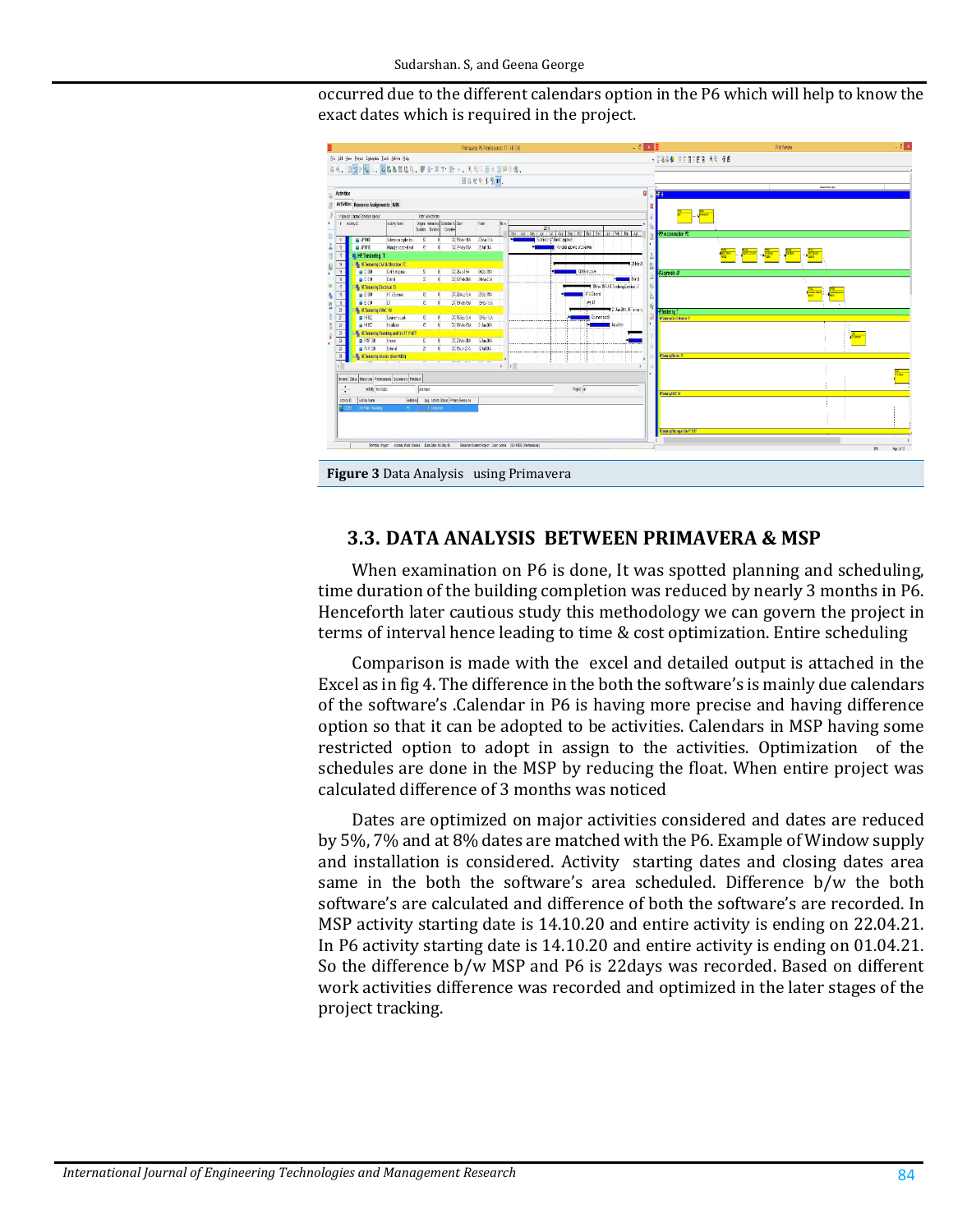occurred due to the different calendars option in the P6 which will help to know the exact dates which is required in the project.



#### **3.3. DATA ANALYSIS BETWEEN PRIMAVERA & MSP**

When examination on P6 is done, It was spotted planning and scheduling, time duration of the building completion was reduced by nearly 3 months in P6. Henceforth later cautious study this methodology we can govern the project in terms of interval hence leading to time & cost optimization. Entire scheduling

Comparison is made with the excel and detailed output is attached in the Excel as in fig 4. The difference in the both the software's is mainly due calendars of the software's .Calendar in P6 is having more precise and having difference option so that it can be adopted to be activities. Calendars in MSP having some restricted option to adopt in assign to the activities. Optimization of the schedules are done in the MSP by reducing the float. When entire project was calculated difference of 3 months was noticed

Dates are optimized on major activities considered and dates are reduced by 5%, 7% and at 8% dates are matched with the P6. Example of Window supply and installation is considered. Activity starting dates and closing dates area same in the both the software's area scheduled. Difference b/w the both software's are calculated and difference of both the software's are recorded. In MSP activity starting date is 14.10.20 and entire activity is ending on 22.04.21. In P6 activity starting date is 14.10.20 and entire activity is ending on 01.04.21. So the difference b/w MSP and P6 is 22days was recorded. Based on different work activities difference was recorded and optimized in the later stages of the project tracking.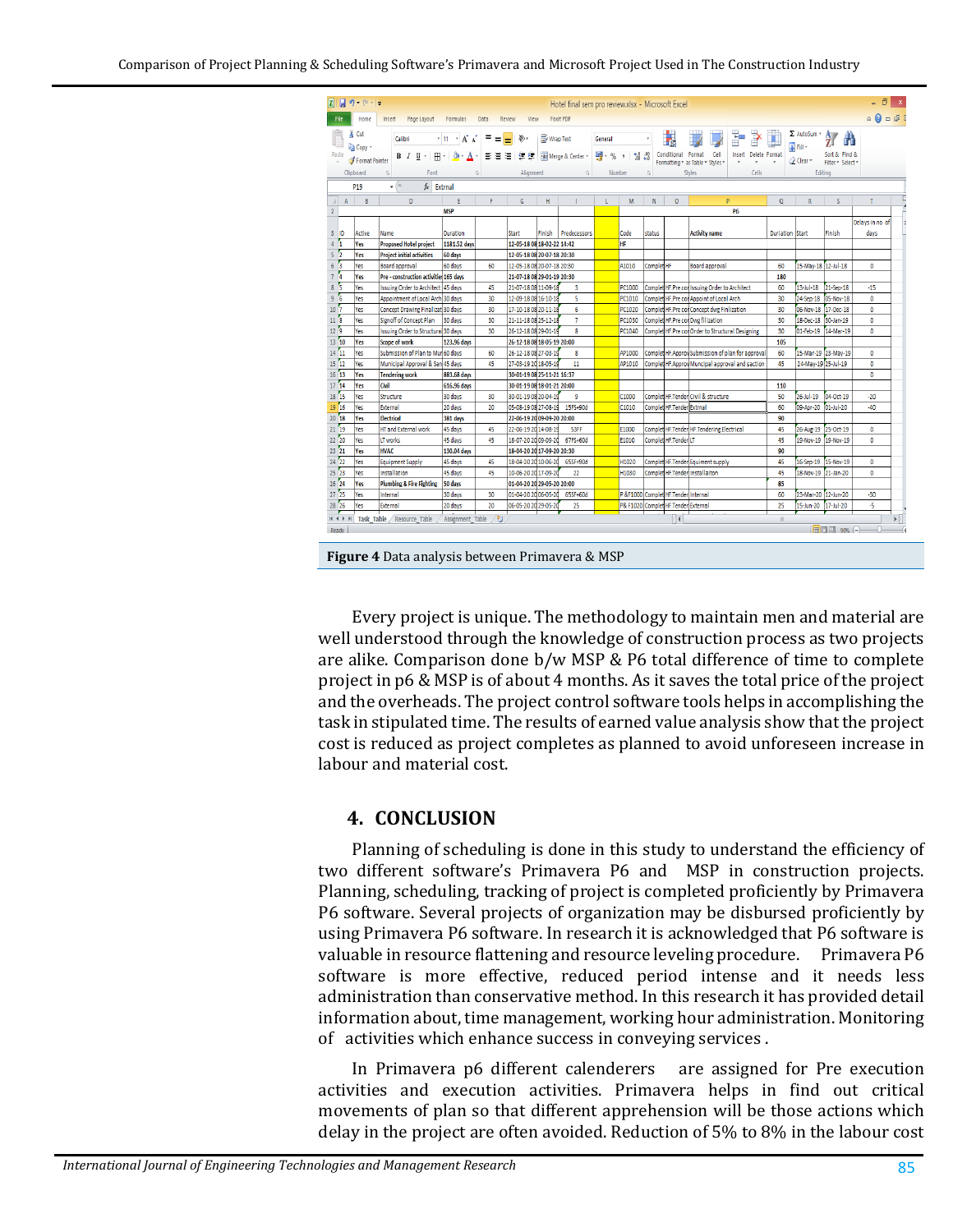| - 6<br>日り ローマ<br>MI<br>Hotel final sem pro review.xlsx - Microsoft Excel |              |                                                                                  |                                           |                                                                                                                   |          |                                                    |           |                  |                                            |                   |            |                                     |                                                   |                        |                                            |                                                            |                                               |
|--------------------------------------------------------------------------|--------------|----------------------------------------------------------------------------------|-------------------------------------------|-------------------------------------------------------------------------------------------------------------------|----------|----------------------------------------------------|-----------|------------------|--------------------------------------------|-------------------|------------|-------------------------------------|---------------------------------------------------|------------------------|--------------------------------------------|------------------------------------------------------------|-----------------------------------------------|
| <b>File</b>                                                              |              | Home<br>Page Layout<br>Formulas<br>Data<br>Review<br>View<br>Foxit PDF<br>Insert |                                           |                                                                                                                   |          |                                                    |           |                  |                                            |                   |            |                                     |                                                   |                        |                                            | $\circ$ $\circ$ $\circ$ $\circ$ $\circ$                    |                                               |
| Paste                                                                    |              | & Cut<br><b>The Copy</b>                                                         | Calibri                                   | $+11 + \overrightarrow{A}$ $\overrightarrow{A}$<br>$\mathbb{H}$ $\cdot$ $\mathbb{Q}$ $\cdot$ $\mathbb{A}$ $\cdot$ | Ξ<br>喜   | $\frac{N}{N}$<br>$=$<br>御事 御 御 御                   | Wrap Text | Merge & Center * | General<br>$\frac{1}{2}$ , $\frac{1}{2}$ , | $*^{0.00}_{0.00}$ |            | F,<br>Conditional Format            | ÷<br>P<br>Cell<br>Insert Delete Format            | Ū                      | $\Sigma$ AutoSum $\tau$<br><b>B</b> Fill * | 糽<br>Â<br>Sort & Find &                                    |                                               |
|                                                                          |              | Format Painter                                                                   | B / U ·                                   |                                                                                                                   |          |                                                    |           |                  |                                            |                   |            |                                     | Formatting * as Table * Styles *                  |                        | O Clear                                    | Filter * Select *                                          |                                               |
|                                                                          |              | Clipboard                                                                        | Font<br>Γý.                               |                                                                                                                   | 5        | Alignment                                          |           | $\overline{y}$   | Number                                     |                   |            | Styles<br>Cells                     |                                                   | Editing                |                                            |                                                            |                                               |
|                                                                          |              | <b>P19</b>                                                                       | $f_x$ Extrnal<br>$\mathbf{v}$ (m)         |                                                                                                                   |          |                                                    |           |                  |                                            |                   |            |                                     |                                                   |                        |                                            |                                                            |                                               |
| $\mathcal{A}$                                                            | $\mathsf{A}$ | B                                                                                | $\mathsf D$                               | E.                                                                                                                | F.       | G                                                  | H         |                  | $\mathsf{L}$                               | M                 | N          | $\circ$                             | P                                                 | $\alpha$               | R                                          | <sub>S</sub>                                               | T                                             |
| $\overline{2}$                                                           |              | <b>MSP</b><br><b>P6</b>                                                          |                                           |                                                                                                                   |          |                                                    |           |                  |                                            |                   |            |                                     |                                                   |                        |                                            |                                                            |                                               |
|                                                                          |              |                                                                                  |                                           |                                                                                                                   |          |                                                    |           |                  |                                            |                   |            |                                     |                                                   |                        |                                            |                                                            | Delays in no of                               |
| $3$ ID                                                                   |              | <b>Active</b>                                                                    | <b>Name</b>                               | <b>Duration</b>                                                                                                   |          | Start                                              | Finish    | Predecessors     |                                            | Code              | status     |                                     | <b>Activity name</b>                              | <b>Duriation Start</b> |                                            | Finish                                                     | days                                          |
| 4 <sup>1</sup>                                                           |              | Yes                                                                              | <b>Proposed Hotel project</b>             | 1181.52 days                                                                                                      |          | 12-05-18 08 18-02-22 14:42                         |           |                  |                                            | HF                |            |                                     |                                                   |                        |                                            |                                                            |                                               |
| 5 <sup>2</sup>                                                           |              | Yes                                                                              | <b>Project initial activities</b>         | 60 days                                                                                                           |          | 12-05-18 08 20-07-18 20:30                         |           |                  |                                            |                   |            |                                     |                                                   |                        |                                            |                                                            |                                               |
| 6 <sup>5</sup>                                                           | И            | Yes                                                                              | <b>Board approval</b>                     | 60 days                                                                                                           | 60       | 12-05-18 08 20-07-18 20:30                         |           |                  |                                            | A1010             | Complet HF |                                     | <b>Board approval</b>                             | 60                     | 15-May-18 12-Jul-18                        |                                                            | $\mathbf{0}$                                  |
| $\overline{7}$<br>8 <sub>5</sub>                                         |              | Yes                                                                              | Pre - construction activities 165 days    |                                                                                                                   |          | 21-07-18 08 29-01-19 20:30                         |           |                  |                                            |                   |            |                                     |                                                   | 180                    |                                            |                                                            |                                               |
|                                                                          |              | Yes                                                                              | <b>Issuing Order to Architect 45 days</b> |                                                                                                                   | 45       | 21-07-18 08 11-09-18                               |           | 3                |                                            | PC1000            |            |                                     | Complet HF. Pre con Issuing Order to Architect    | 60                     | 13-Jul-18                                  | 21-Sep-18                                                  | $-15$                                         |
| 9 <sub>6</sub>                                                           |              | Yes                                                                              | Appointment of Local Arch 30 days         |                                                                                                                   | 30       | 12-09-18 08 16-10-18                               |           | 5                |                                            | PC1010            |            |                                     | Complet HF.Pre con Appoint of Local Arch          | 30                     | 24-Sep-18 05-Nov-18                        |                                                            | $\mathbf{0}$                                  |
| 10 <sup>7</sup>                                                          |              | Yes                                                                              | Concept Drawing Finalizat 30 days         |                                                                                                                   | 30       | 17-10-18 08 20-11-18                               |           | 6                |                                            | PC1020            |            |                                     | Complet HF.Pre con Concept dwg Finlization        | 30                     | 06-Nov-18 17-Dec-18                        |                                                            | $\mathbf{0}$                                  |
| $11^{6}$<br>12 <sup>2</sup>                                              |              | Yes                                                                              | Signoff of Concept Plan                   | 30 days                                                                                                           | 30       | 21-11-18 08 25-12-18                               |           | $\overline{7}$   |                                            | PC1030            |            |                                     | Complet HF.Pre con Dwg filization                 | 30                     | 18-Dec-18 30-Jan-19                        |                                                            | $\bullet$                                     |
| $13\ 10$                                                                 |              | Yes                                                                              | Issuing Order to Structura 30 days        |                                                                                                                   | 30       | 26-12-18 08 29-01-19                               |           | 8                |                                            | PC1040            |            |                                     | Complet HF.Pre con Order to Structural Designing  | 30                     | 01-Feb-19 14-Mar-19                        |                                                            | $\mathbf{0}$                                  |
|                                                                          |              | Yes                                                                              | Scope of work                             | 123.96 days                                                                                                       |          | 26-12-18 08 18-05-19 20:00                         |           |                  |                                            |                   |            |                                     |                                                   | 105                    |                                            |                                                            |                                               |
| 14 11                                                                    |              | Yes                                                                              | Submission of Plan to Mun60 days          |                                                                                                                   | 60       | 26-12-18 08 27-03-19                               |           | 8                |                                            | AP1000            |            |                                     | Complet HF Approv Submission of plan for approval | 60                     | 15-Mar-19 23-May-19                        |                                                            | 0                                             |
| $15\ 12$<br>16 <sup>7</sup>                                              |              | Yes                                                                              | Municipal Approval & San 45 days          |                                                                                                                   | 45       | 27-03-19 20 18-05-19                               |           | 11               |                                            | AP1010            |            |                                     | Complet HF Approv Muncipal approval and saction   | 45                     | 24-May-19 25-Jul-19                        |                                                            | $\mathbf{0}$                                  |
| 17 <sup>14</sup>                                                         |              | Yes                                                                              | <b>Tendering work</b>                     | 883.68 days                                                                                                       |          | 30-01-19 08 25-11-21 16:37                         |           |                  |                                            |                   |            |                                     |                                                   |                        |                                            |                                                            | $\mathbf{0}$                                  |
| $18\,15$                                                                 |              | Yes                                                                              | Civil                                     | 616.96 days                                                                                                       |          | 30-01-19 08 18-01-21 20:00                         |           |                  |                                            |                   |            |                                     |                                                   | 110                    |                                            |                                                            |                                               |
| 19 16                                                                    |              | Yes                                                                              | Structure                                 | 30 days                                                                                                           | 30       | 30-01-19 08 20-04-19                               |           | 9                |                                            | C1000             |            |                                     | Complet HF.Tender Civil & structure               | 50                     | 26-Jul-19                                  | 04-Oct-19                                                  | $-20$                                         |
| $20^{18}$                                                                |              | Yes                                                                              | External                                  | 20 days                                                                                                           | 20       | 05-08-19 08 27-08-19                               |           | 15FS+90d         |                                            | C1010             |            | Complet HF.Tender Extrnal           |                                                   | 60                     | 09-Apr-20 01-Jul-20                        |                                                            | $-40$                                         |
| $21\ 19$                                                                 |              | Yes                                                                              | <b>Electrical</b>                         | 381 days                                                                                                          |          | 22-06-19 20 09-09-20 20:00<br>22-06-19 20 14-08-19 |           | 53FF             |                                            |                   |            |                                     | Complet HF.Tender HF.Tendering.Electrical         | 90                     | 26-Aug-19 25-Oct-19                        |                                                            |                                               |
| $22\ 20$                                                                 |              | Yes<br>Yes                                                                       | <b>HT and External work</b><br>LT works   | 45 days<br>45 days                                                                                                | 45<br>45 | 18-07-20 20 09-09-20                               |           | 67FS+60d         |                                            | E1000<br>E1010    |            | Complet HF.Tender LT                |                                                   | 45<br>45               | 19-Nov-19 19-Nov-19                        |                                                            | $\bullet$<br>$\mathbf{0}$                     |
| $23\ 21$                                                                 |              | Yes                                                                              | <b>HVAC</b>                               | 130.04 days                                                                                                       |          | 18-04-20 2017-09-20 20:30                          |           |                  |                                            |                   |            |                                     |                                                   | 90                     |                                            |                                                            |                                               |
| 24 22                                                                    |              | Yes                                                                              | <b>Equipment Supply</b>                   | 45 days                                                                                                           | 45       | 18-04-20 20 10-06-20                               |           | 65SF+90d         |                                            | H1020             |            |                                     | Complet HF.Tender Equiment supply                 | 45                     | 16-Sep-19 15-Nov-19                        |                                                            | 0                                             |
| 25 23                                                                    |              | Yes                                                                              | Installation                              | 45 days                                                                                                           | 45       | 10-06-20 20 17-09-20                               |           | 22               |                                            | H1030             |            |                                     | Complet HF. Tender Installaiton                   | 45                     | 18-Nov-19 21-Jan-20                        |                                                            | $\mathbf{0}$                                  |
| $26\overline{24}$                                                        |              | Yes                                                                              | <b>Plumbing &amp; Fire Fighting</b>       | 50 days                                                                                                           |          | 01-04-20 20 29-05-20 20:00                         |           |                  |                                            |                   |            |                                     |                                                   | 85                     |                                            |                                                            |                                               |
| $27\,25$                                                                 |              | Yes                                                                              | Internal                                  | 30 days                                                                                                           | 30       | 01-04-20 2006-05-20                                |           | 65SF+60d         |                                            |                   |            | P &F1000 Complet HF.Tender          | Internal                                          | 60                     | 23-Mar-20 12-Jun-20                        |                                                            | $-30$                                         |
| 28 26                                                                    |              | Yes                                                                              | External                                  | 20 days                                                                                                           | 20       | 06-05-20 20 29-05-20                               |           | 25               |                                            |                   |            | P& F1020 Complet HF.Tender External |                                                   | 25                     | 15-Jun-20 17-Jul-20                        |                                                            | -5                                            |
|                                                                          |              |                                                                                  |                                           |                                                                                                                   |          |                                                    |           |                  |                                            |                   |            |                                     |                                                   |                        |                                            |                                                            |                                               |
|                                                                          |              |                                                                                  | IN 4 D H Task Table Resource Table        | Assignment_Table / 2                                                                                              |          |                                                    |           |                  |                                            |                   |            | ∏∢                                  |                                                   | $\mathbb{R}$           |                                            |                                                            | $\blacktriangleright$ $\parallel$ $\parallel$ |
| Ready                                                                    |              |                                                                                  |                                           |                                                                                                                   |          |                                                    |           |                  |                                            |                   |            |                                     |                                                   |                        |                                            | $\blacksquare$ $\blacksquare$ $\blacksquare$ 90% $\subset$ |                                               |
|                                                                          |              |                                                                                  |                                           |                                                                                                                   |          |                                                    |           |                  |                                            |                   |            |                                     |                                                   |                        |                                            |                                                            |                                               |

**Figure 4** Data analysis between Primavera & MSP

Every project is unique. The methodology to maintain men and material are well understood through the knowledge of construction process as two projects are alike. Comparison done b/w MSP & P6 total difference of time to complete project in p6 & MSP is of about 4 months. As it saves the total price of the project and the overheads. The project control software tools helps in accomplishing the task in stipulated time. The results of earned value analysis show that the project cost is reduced as project completes as planned to avoid unforeseen increase in labour and material cost.

#### **4. CONCLUSION**

Planning of scheduling is done in this study to understand the efficiency of two different software's Primavera P6 and MSP in construction projects. Planning, scheduling, tracking of project is completed proficiently by Primavera P6 software. Several projects of organization may be disbursed proficiently by using Primavera P6 software. In research it is acknowledged that P6 software is valuable in resource flattening and resource leveling procedure. software is more effective, reduced period intense and it needs less administration than conservative method. In this research it has provided detail information about, time management, working hour administration. Monitoring of activities which enhance success in conveying services .

In Primavera p6 different calenderers are assigned for Pre execution activities and execution activities. Primavera helps in find out critical movements of plan so that different apprehension will be those actions which delay in the project are often avoided. Reduction of 5% to 8% in the labour cost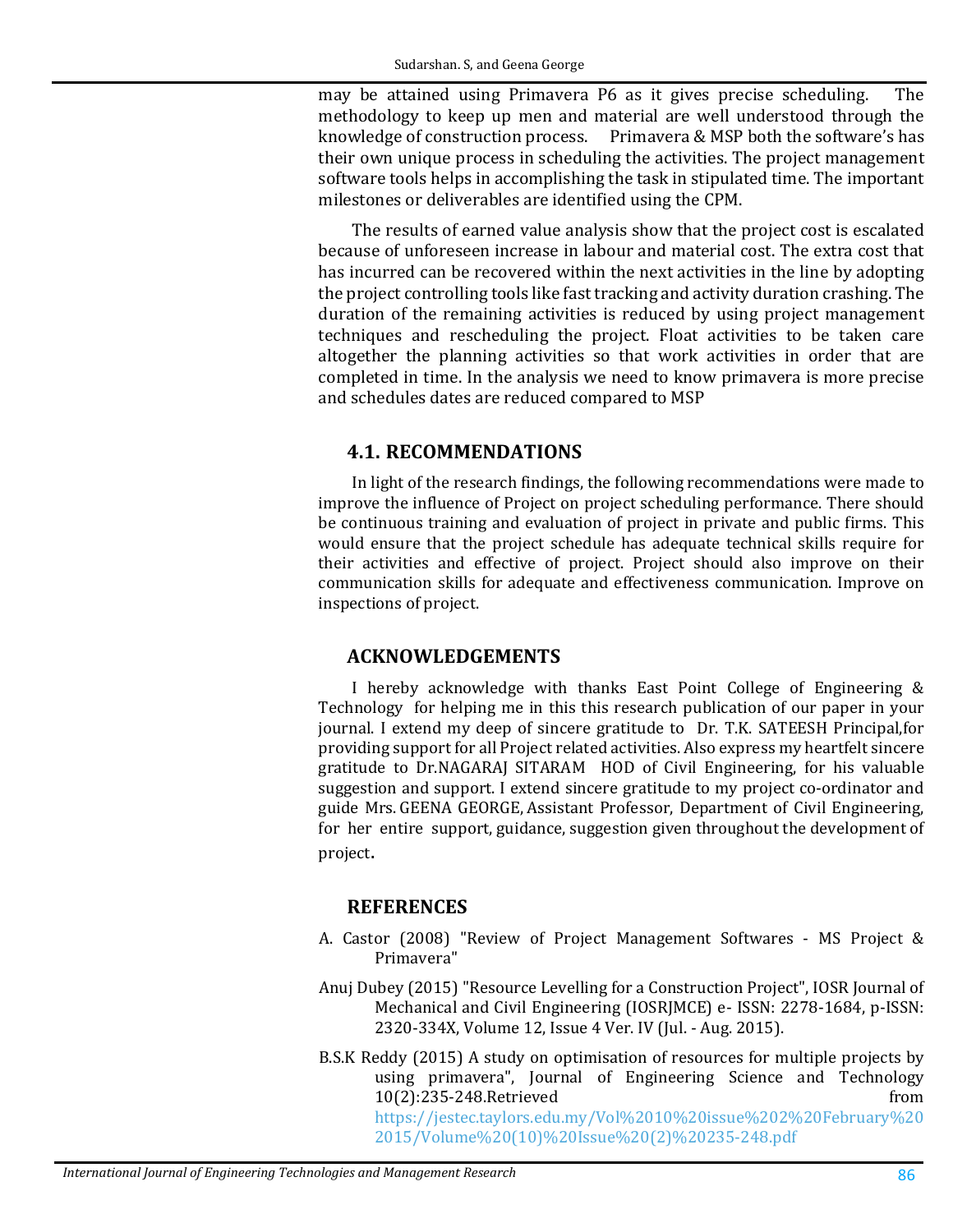may be attained using Primavera P6 as it gives precise scheduling. The methodology to keep up men and material are well understood through the knowledge of construction process. Primavera & MSP both the software's has Primavera & MSP both the software's has their own unique process in scheduling the activities. The project management software tools helps in accomplishing the task in stipulated time. The important milestones or deliverables are identified using the CPM.

The results of earned value analysis show that the project cost is escalated because of unforeseen increase in labour and material cost. The extra cost that has incurred can be recovered within the next activities in the line by adopting the project controlling tools like fast tracking and activity duration crashing. The duration of the remaining activities is reduced by using project management techniques and rescheduling the project. Float activities to be taken care altogether the planning activities so that work activities in order that are completed in time. In the analysis we need to know primavera is more precise and schedules dates are reduced compared to MSP

### **4.1. RECOMMENDATIONS**

In light of the research findings, the following recommendations were made to improve the influence of Project on project scheduling performance. There should be continuous training and evaluation of project in private and public firms. This would ensure that the project schedule has adequate technical skills require for their activities and effective of project. Project should also improve on their communication skills for adequate and effectiveness communication. Improve on inspections of project.

# **ACKNOWLEDGEMENTS**

I hereby acknowledge with thanks East Point College of Engineering & Technology for helping me in this this research publication of our paper in your journal. I extend my deep of sincere gratitude to Dr. T.K. SATEESH Principal,for providing support for all Project related activities. Also express my heartfelt sincere gratitude to Dr.NAGARAJ SITARAM HOD of Civil Engineering, for his valuable suggestion and support. I extend sincere gratitude to my project co-ordinator and guide Mrs. GEENA GEORGE, Assistant Professor, Department of Civil Engineering, for her entire support, guidance, suggestion given throughout the development of project.

# **REFERENCES**

- <span id="page-8-1"></span>A. Castor (2008) "Review of Project Management Softwares - MS Project & Primavera"
- <span id="page-8-2"></span>Anuj Dubey (2015) "Resource Levelling for a Construction Project", IOSR Journal of Mechanical and Civil Engineering (IOSRJMCE) e- ISSN: 2278-1684, p-ISSN: 2320-334X, Volume 12, Issue 4 Ver. IV (Jul. - Aug. 2015).
- <span id="page-8-0"></span>B.S.K Reddy (2015) A study on optimisation of resources for multiple projects by using primavera", Journal of Engineering Science and Technology<br>10(2):235-248.Retrieved from 10(2):235-248.Retrieved [https://jestec.taylors.edu.my/Vol%2010%20issue%202%20February%20](https://jestec.taylors.edu.my/Vol%2010%20issue%202%20February%202015/Volume%20(10)%20Issue%20(2)%20235-248.pdf) [2015/Volume%20\(10\)%20Issue%20\(2\)%20235-248.pdf](https://jestec.taylors.edu.my/Vol%2010%20issue%202%20February%202015/Volume%20(10)%20Issue%20(2)%20235-248.pdf)